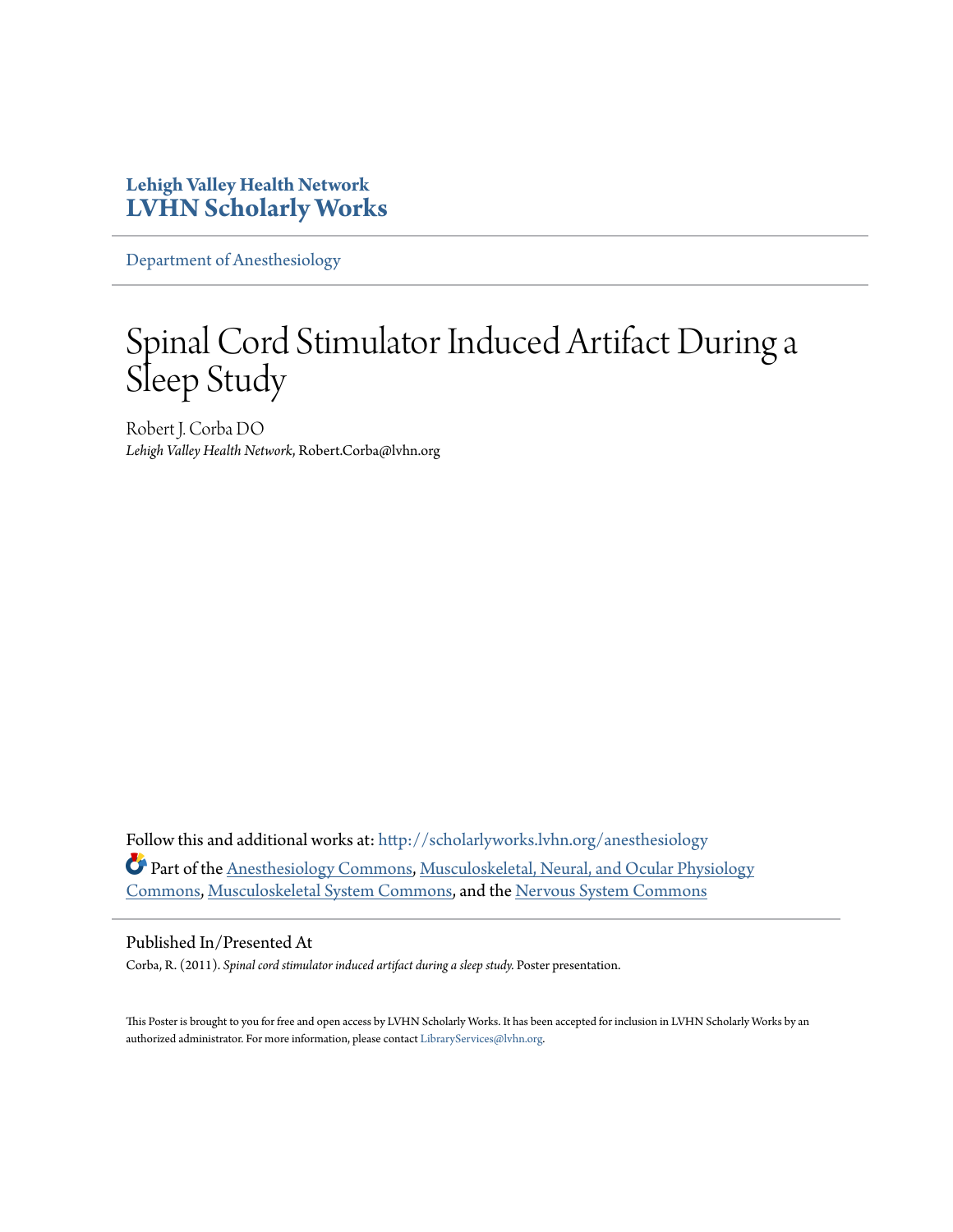#### **Lehigh Valley Health Network [LVHN Scholarly Works](http://scholarlyworks.lvhn.org?utm_source=scholarlyworks.lvhn.org%2Fanesthesiology%2F83&utm_medium=PDF&utm_campaign=PDFCoverPages)**

[Department of Anesthesiology](http://scholarlyworks.lvhn.org/anesthesiology?utm_source=scholarlyworks.lvhn.org%2Fanesthesiology%2F83&utm_medium=PDF&utm_campaign=PDFCoverPages)

# Spinal Cord Stimulator Induced Artifact During a Sleep Study

Robert J. Corba DO *Lehigh Valley Health Network*, Robert.Corba@lvhn.org

Follow this and additional works at: [http://scholarlyworks.lvhn.org/anesthesiology](http://scholarlyworks.lvhn.org/anesthesiology?utm_source=scholarlyworks.lvhn.org%2Fanesthesiology%2F83&utm_medium=PDF&utm_campaign=PDFCoverPages) Part of the [Anesthesiology Commons](http://network.bepress.com/hgg/discipline/682?utm_source=scholarlyworks.lvhn.org%2Fanesthesiology%2F83&utm_medium=PDF&utm_campaign=PDFCoverPages), [Musculoskeletal, Neural, and Ocular Physiology](http://network.bepress.com/hgg/discipline/964?utm_source=scholarlyworks.lvhn.org%2Fanesthesiology%2F83&utm_medium=PDF&utm_campaign=PDFCoverPages) [Commons,](http://network.bepress.com/hgg/discipline/964?utm_source=scholarlyworks.lvhn.org%2Fanesthesiology%2F83&utm_medium=PDF&utm_campaign=PDFCoverPages) [Musculoskeletal System Commons,](http://network.bepress.com/hgg/discipline/938?utm_source=scholarlyworks.lvhn.org%2Fanesthesiology%2F83&utm_medium=PDF&utm_campaign=PDFCoverPages) and the [Nervous System Commons](http://network.bepress.com/hgg/discipline/949?utm_source=scholarlyworks.lvhn.org%2Fanesthesiology%2F83&utm_medium=PDF&utm_campaign=PDFCoverPages)

#### Published In/Presented At

Corba, R. (2011). *Spinal cord stimulator induced artifact during a sleep study.* Poster presentation.

This Poster is brought to you for free and open access by LVHN Scholarly Works. It has been accepted for inclusion in LVHN Scholarly Works by an authorized administrator. For more information, please contact [LibraryServices@lvhn.org.](mailto:LibraryServices@lvhn.org)